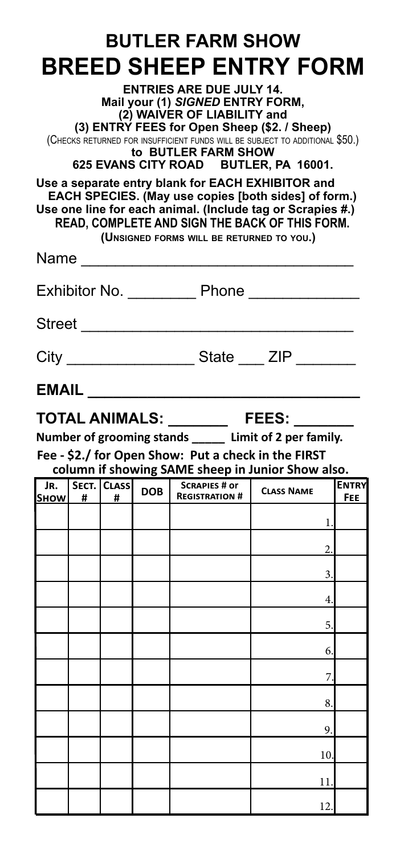| <b>BUTLER FARM SHOW</b>                                                                                                                                                                                                                                                                                                                                 |       |                  |                                                                                                               |                                               |                                                                                                                                                                      |                     |  |
|---------------------------------------------------------------------------------------------------------------------------------------------------------------------------------------------------------------------------------------------------------------------------------------------------------------------------------------------------------|-------|------------------|---------------------------------------------------------------------------------------------------------------|-----------------------------------------------|----------------------------------------------------------------------------------------------------------------------------------------------------------------------|---------------------|--|
|                                                                                                                                                                                                                                                                                                                                                         |       |                  |                                                                                                               |                                               | <b>BREED SHEEP ENTRY FORM</b>                                                                                                                                        |                     |  |
| <b>ENTRIES ARE DUE JULY 14.</b><br>Mail your (1) SIGNED ENTRY FORM,<br>(2) WAIVER OF LIABILITY and<br>(3) ENTRY FEES for Open Sheep (\$2. / Sheep)<br>(CHECKS RETURNED FOR INSUFFICIENT FUNDS WILL BE SUBJECT TO ADDITIONAL \$50.)<br>to BUTLER FARM SHOW<br>625 EVANS CITY ROAD BUTLER, PA 16001.<br>Use a separate entry blank for EACH EXHIBITOR and |       |                  |                                                                                                               |                                               |                                                                                                                                                                      |                     |  |
|                                                                                                                                                                                                                                                                                                                                                         |       |                  |                                                                                                               | (UNSIGNED FORMS WILL BE RETURNED TO YOU.)     | EACH SPECIES. (May use copies [both sides] of form.)<br>Use one line for each animal. (Include tag or Scrapies #.)<br>READ, COMPLETE AND SIGN THE BACK OF THIS FORM. |                     |  |
|                                                                                                                                                                                                                                                                                                                                                         |       |                  | Name and the state of the state of the state of the state of the state of the state of the state of the state |                                               |                                                                                                                                                                      |                     |  |
| Exhibitor No. Phone                                                                                                                                                                                                                                                                                                                                     |       |                  |                                                                                                               |                                               |                                                                                                                                                                      |                     |  |
|                                                                                                                                                                                                                                                                                                                                                         |       |                  | Street _______________                                                                                        |                                               |                                                                                                                                                                      |                     |  |
| City _______________________State _____ ZIP __________                                                                                                                                                                                                                                                                                                  |       |                  |                                                                                                               |                                               |                                                                                                                                                                      |                     |  |
|                                                                                                                                                                                                                                                                                                                                                         | EMAIL |                  |                                                                                                               |                                               |                                                                                                                                                                      |                     |  |
| TOTAL ANIMALS: ___________ FEES: ___                                                                                                                                                                                                                                                                                                                    |       |                  |                                                                                                               |                                               |                                                                                                                                                                      |                     |  |
| Number of grooming stands _____ Limit of 2 per family.<br>Fee - \$2./ for Open Show: Put a check in the FIRST                                                                                                                                                                                                                                           |       |                  |                                                                                                               |                                               |                                                                                                                                                                      |                     |  |
|                                                                                                                                                                                                                                                                                                                                                         |       |                  |                                                                                                               |                                               |                                                                                                                                                                      |                     |  |
|                                                                                                                                                                                                                                                                                                                                                         |       |                  |                                                                                                               |                                               | column if showing SAME sheep in Junior Show also.                                                                                                                    |                     |  |
| JR.<br><b>SHOW</b>                                                                                                                                                                                                                                                                                                                                      | #     | SECT. CLASS<br># | DOB                                                                                                           | <b>SCRAPIES # or</b><br><b>REGISTRATION #</b> | <b>CLASS NAME</b>                                                                                                                                                    | <b>ENTRY</b><br>FEE |  |
|                                                                                                                                                                                                                                                                                                                                                         |       |                  |                                                                                                               |                                               | 1.                                                                                                                                                                   |                     |  |
|                                                                                                                                                                                                                                                                                                                                                         |       |                  |                                                                                                               |                                               | 2.                                                                                                                                                                   |                     |  |
|                                                                                                                                                                                                                                                                                                                                                         |       |                  |                                                                                                               |                                               | 3.                                                                                                                                                                   |                     |  |
|                                                                                                                                                                                                                                                                                                                                                         |       |                  |                                                                                                               |                                               | 4.                                                                                                                                                                   |                     |  |
|                                                                                                                                                                                                                                                                                                                                                         |       |                  |                                                                                                               |                                               | 5.                                                                                                                                                                   |                     |  |
|                                                                                                                                                                                                                                                                                                                                                         |       |                  |                                                                                                               |                                               | 6.                                                                                                                                                                   |                     |  |
|                                                                                                                                                                                                                                                                                                                                                         |       |                  |                                                                                                               |                                               | 7                                                                                                                                                                    |                     |  |
|                                                                                                                                                                                                                                                                                                                                                         |       |                  |                                                                                                               |                                               | 8.                                                                                                                                                                   |                     |  |
|                                                                                                                                                                                                                                                                                                                                                         |       |                  |                                                                                                               |                                               | 9.                                                                                                                                                                   |                     |  |
|                                                                                                                                                                                                                                                                                                                                                         |       |                  |                                                                                                               |                                               | 10.                                                                                                                                                                  |                     |  |
|                                                                                                                                                                                                                                                                                                                                                         |       |                  |                                                                                                               |                                               | 11                                                                                                                                                                   |                     |  |